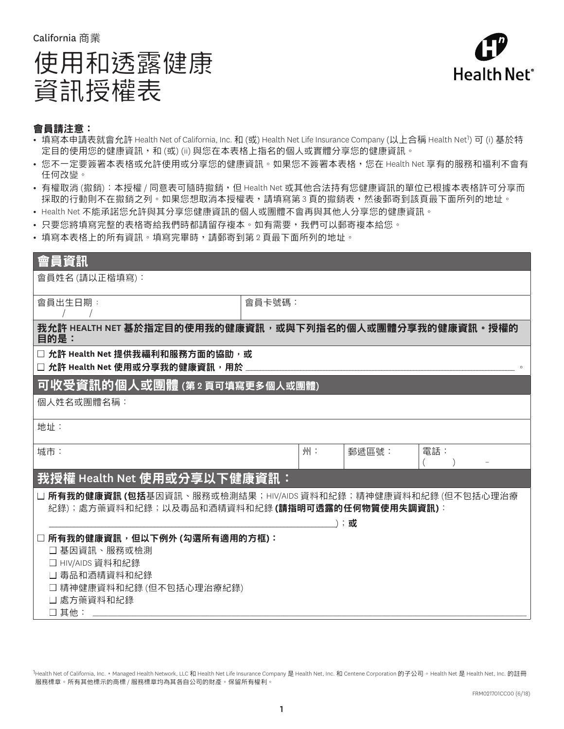California 商業

# 使用和透露健康 資訊授權表



## 會員請注意:

- 填寫本申請表就會允許 Health Net of California, Inc. 和 (或) Health Net Life Insurance Company (以上合稱 Health Net<sup>1</sup>) 可 (i) 基於特 定目的使用您的健康資訊,和 (或) (ii) 與您在本表格上指名的個人或實體分享您的健康資訊。
- **•** 您不一定要簽署本表格或允許使用或分享您的健康資訊。如果您不簽署本表格,您在 Health Net 享有的服務和福利不會有 任何改變。
- **•** 有權取消 (撤銷):本授權 / 同意表可隨時撤銷,但 Health Net 或其他合法持有您健康資訊的單位已根據本表格許可分享而 採取的行動則不在撤銷之列。如果您想取消本授權表,請填寫第 3 頁的撤銷表,然後郵寄到該頁最下面所列的地址。
- **•** Health Net 不能承諾您允許與其分享您健康資訊的個人或團體不會再與其他人分享您的健康資訊。
- **•** 只要您將填寫完整的表格寄給我們時都請留存複本。如有需要,我們可以郵寄複本給您。
- **•** 填寫本表格上的所有資訊。填寫完畢時,請郵寄到第 2 頁最下面所列的地址。

| 會員資訊                                                                                                                   |        |    |       |     |  |  |
|------------------------------------------------------------------------------------------------------------------------|--------|----|-------|-----|--|--|
| 會員姓名 (請以正楷填寫):                                                                                                         |        |    |       |     |  |  |
| 會員出生日期:                                                                                                                | 會員卡號碼: |    |       |     |  |  |
| 我允許 HEALTH NET 基於指定目的使用我的健康資訊,或與下列指名的個人或團體分享我的健康資訊。授權的<br>目的是:                                                         |        |    |       |     |  |  |
| □ 允許 Health Net 提供我福利和服務方面的協助,或<br>□ 允許 Health Net 使用或分享我的健康資訊, 用於                                                     |        |    |       |     |  |  |
| 可收受資訊的個人或團體 (第2頁可填寫更多個人或團體)                                                                                            |        |    |       |     |  |  |
| 個人姓名或團體名稱:                                                                                                             |        |    |       |     |  |  |
| 地址:                                                                                                                    |        |    |       |     |  |  |
| 城市:                                                                                                                    |        | 州: | 郵遞區號: | 電話: |  |  |
| 我授權 Health Net 使用或分享以下健康資訊:                                                                                            |        |    |       |     |  |  |
| □ <b>所有我的健康資訊 (包括</b> 基因資訊、服務或檢測結果;HIV/AIDS 資料和紀錄;精神健康資料和紀錄 (但不包括心理治療<br>紀錄);處方藥資料和紀錄;以及毒品和酒精資料和紀錄(請指明可透露的任何物質使用失調資訊): |        |    |       |     |  |  |
|                                                                                                                        |        |    | );或   |     |  |  |
| 所有我的健康資訊,但以下例外 (勾選所有適用的方框):<br>□ 基因資訊、服務或檢測<br>□ HIV/AIDS 資料和紀錄<br>□ 毒品和酒精資料和紀錄<br>□ 精神健康資料和紀錄 (但不包括心理治療紀錄)            |        |    |       |     |  |  |
| □ 處方藥資料和紀錄<br>□其他:                                                                                                     |        |    |       |     |  |  |

1Health Net of California, Inc., Managed Health Network, LLC 和 Health Net Life Insurance Company 是 Health Net, Inc. 和 Centene Corporation 的子公司。Health Net 是 Health Net, Inc. 的註冊 服務標章。所有其他標示的商標 / 服務標章均為其各自公司的財產。保留所有權利。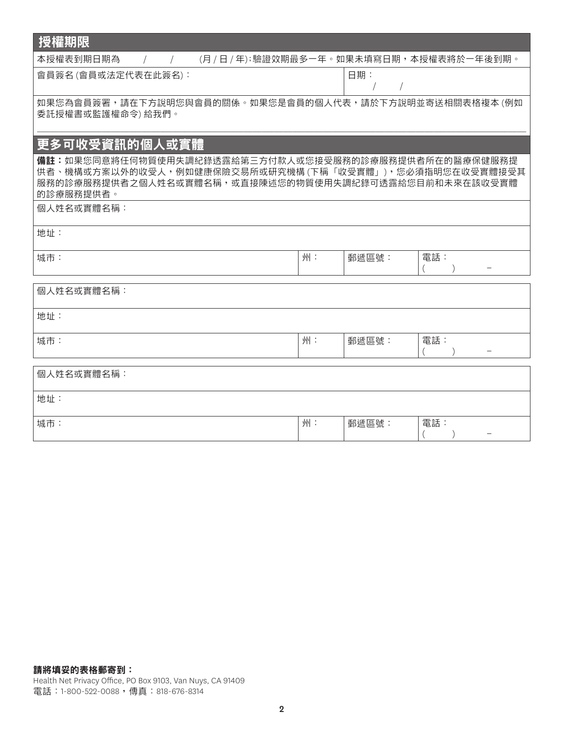| 授權期限                                                                                                                                                                                 |    |       |     |  |  |  |  |
|--------------------------------------------------------------------------------------------------------------------------------------------------------------------------------------|----|-------|-----|--|--|--|--|
| 本授權表到期日期為<br>(月 / 日 / 年);驗證效期最多一年。如果未填寫日期,本授權表將於一年後到期。<br>$\sqrt{2}$                                                                                                                 |    |       |     |  |  |  |  |
| 會員簽名(會員或法定代表在此簽名):                                                                                                                                                                   |    | 日期:   |     |  |  |  |  |
| 如果您為會員簽署,請在下方說明您與會員的關係。如果您是會員的個人代表,請於下方說明並寄送相關表格複本 (例如<br>委託授權書或監護權命令)給我們。                                                                                                           |    |       |     |  |  |  |  |
| 更多可收受資訊的個人或實體                                                                                                                                                                        |    |       |     |  |  |  |  |
| 備註:如果您同意將任何物質使用失調紀錄透露給第三方付款人或您接受服務的診療服務提供者所在的醫療保健服務提<br>供者、機構或方案以外的收受人,例如健康保險交易所或研究機構 (下稱「收受實體」),您必須指明您在收受實體接受其<br>服務的診療服務提供者之個人姓名或實體名稱,或直接陳述您的物質使用失調紀錄可透露給您目前和未來在該收受實體<br>的診療服務提供者。 |    |       |     |  |  |  |  |
| 個人姓名或實體名稱:                                                                                                                                                                           |    |       |     |  |  |  |  |
| 地址:                                                                                                                                                                                  |    |       |     |  |  |  |  |
| 城市:                                                                                                                                                                                  | 州: | 郵遞區號: | 電話: |  |  |  |  |
| 個人姓名或實體名稱:                                                                                                                                                                           |    |       |     |  |  |  |  |
| 地址:                                                                                                                                                                                  |    |       |     |  |  |  |  |
| 城市:                                                                                                                                                                                  | 州: | 郵遞區號: | 電話: |  |  |  |  |
| 個人姓名或實體名稱:                                                                                                                                                                           |    |       |     |  |  |  |  |
| 地址:                                                                                                                                                                                  |    |       |     |  |  |  |  |
| 城市:                                                                                                                                                                                  | 州: | 郵遞區號: | 電話: |  |  |  |  |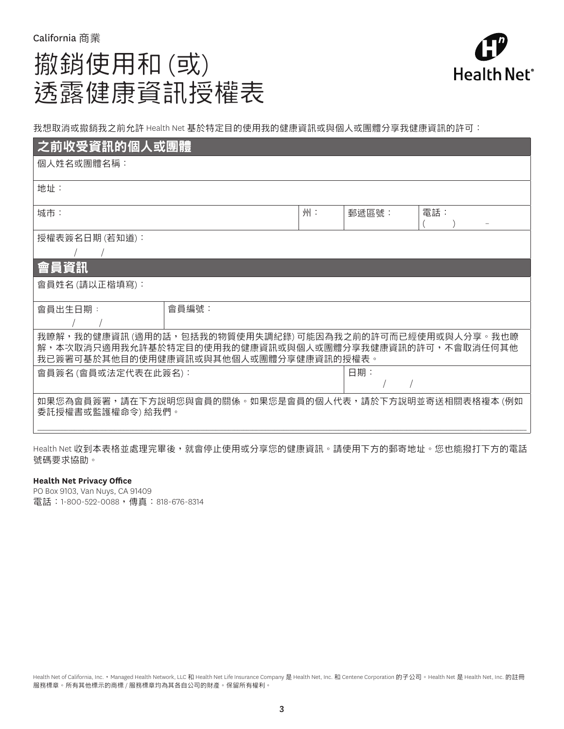## 撤銷使用和 (或) 透露健康資訊授權表



我想取消或撤銷我之前允許 Health Net 基於特定目的使用我的健康資訊或與個人或團體分享我健康資訊的許可:

| 之前收受資訊的個人或團體                                                                                                                                             |       |    |       |     |  |  |
|----------------------------------------------------------------------------------------------------------------------------------------------------------|-------|----|-------|-----|--|--|
| 個人姓名或團體名稱:                                                                                                                                               |       |    |       |     |  |  |
| 地址:                                                                                                                                                      |       |    |       |     |  |  |
| 城市:                                                                                                                                                      |       | 州: | 郵遞區號: | 電話: |  |  |
| 授權表簽名日期 (若知道):                                                                                                                                           |       |    |       |     |  |  |
|                                                                                                                                                          |       |    |       |     |  |  |
| 會員資訊                                                                                                                                                     |       |    |       |     |  |  |
| 會員姓名 (請以正楷填寫):                                                                                                                                           |       |    |       |     |  |  |
| 會員出生日期:                                                                                                                                                  | 會員編號: |    |       |     |  |  |
| 我瞭解,我的健康資訊 (適用的話,包括我的物質使用失調紀錄) 可能因為我之前的許可而已經使用或與人分享。我也瞭<br>解,本次取消只適用我允許基於特定目的使用我的健康資訊或與個人或團體分享我健康資訊的許可,不會取消任何其他<br>我已簽署可基於其他目的使用健康資訊或與其他個人或團體分享健康資訊的授權表。 |       |    |       |     |  |  |
| 會員簽名(會員或法定代表在此簽名):                                                                                                                                       |       |    | 日期:   |     |  |  |
| 如果您為會員簽署,請在下方說明您與會員的關係。如果您是會員的個人代表,請於下方說明並寄送相關表格複本 (例如<br>委託授權書或監護權命令) 給我們。                                                                              |       |    |       |     |  |  |
|                                                                                                                                                          |       |    |       |     |  |  |

Health Net 收到本表格並處理完畢後,就會停止使用或分享您的健康資訊。請使用下方的郵寄地址。您也能撥打下方的電話 號碼要求協助。

#### **Health Net Privacy Office**

PO Box 9103, Van Nuys, CA 91409 電話:1-800-522-0088,傳真:818-676-8314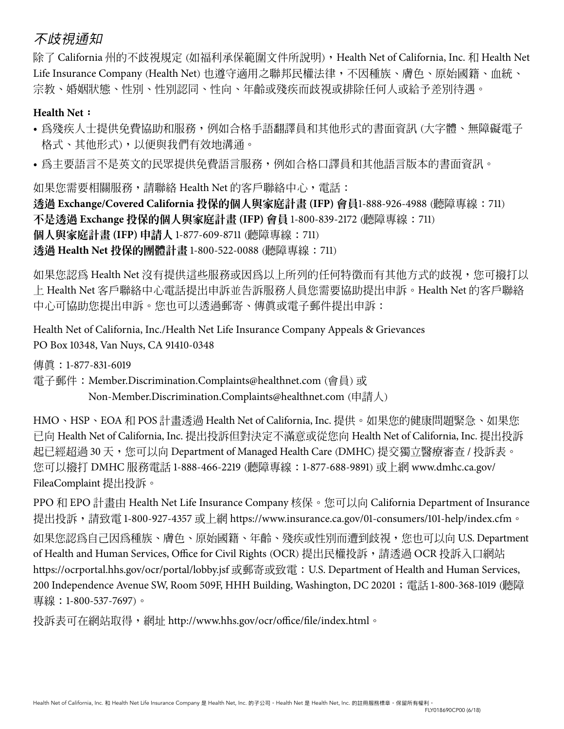## 不歧視通知

除了 California 州的不歧視規定 (如福利承保範圍文件所說明), Health Net of California, Inc. 和 Health Net Life Insurance Company (Health Net) 也遵守適用之聯邦民權法律,不因種族、膚色、原始國籍、血統、 宗教、婚姻狀態、性別、性別認同、性向、年齡或殘疾而歧視或排除任何人或給予差別待遇。

## **Health Net**:

- 為殘疾人士提供免費協助和服務,例如合格手語翻譯員和其他形式的書面資訊 (大字體、無障礙電子 格式、其他形式),以便與我們有效地溝通。
- 為主要語言不是英文的民眾提供免費語言服務,例如合格口譯員和其他語言版本的書面資訊。

如果您需要相關服務,請聯絡 Health Net 的客戶聯絡中心, 雷話:

透過 **Exchange/Covered California** 投保的個人與家庭計畫 **(IFP)** 會員1-888-926-4988 (聽障專線:711) 不是透過 **Exchange** 投保的個人與家庭計畫 **(IFP)** 會員 1-800-839-2172 (聽障專線:711) 個人與家庭計畫 **(IFP)** 申請人 1-877-609-8711 (聽障專線:711) 透過 **Health Net** 投保的團體計畫 1-800-522-0088 (聽障專線:711)

如果您認為 Health Net 沒有提供這些服務或因為以上所列的任何特徵而有其他方式的歧視,您可撥打以 上 Health Net 客戶聯絡中心電話提出申訴並告訴服務人員您需要協助提出申訴。Health Net 的客戶聯絡 中心可協助您提出申訴。您也可以透過郵寄、傳真或電子郵件提出申訴:

Health Net of California, Inc./Health Net Life Insurance Company Appeals & Grievances PO Box 10348, Van Nuys, CA 91410-0348

傳真:1-877-831-6019

電子郵件:Member.Discrimination.Complaints@healthnet.com (會員) 或 Non-Member.Discrimination.Complaints@healthnet.com (申請人)

HMO、HSP、EOA 和 POS 計畫透過 Health Net of California, Inc. 提供。如果您的健康問題緊急、如果您 已向 Health Net of California, Inc. 提出投訴但對決定不滿意或從您向 Health Net of California, Inc. 提出投訴 起已經超過 30 天,您可以向 Department of Managed Health Care (DMHC) 提交獨立醫療審查 / 投訴表。 您可以撥打 DMHC 服務電話 1-888-466-2219 (聽障專線:1-877-688-9891) 或上網 www.dmhc.ca.gov/ FileaComplaint 提出投訴。

PPO 和 EPO 計書由 Health Net Life Insurance Company 核保。您可以向 California Department of Insurance 提出投訴,請致電 1-800-927-4357 或上網 https://www.insurance.ca.gov/01-consumers/101-help/index.cfm。

如果您認為自己因為種族、膚色、原始國籍、年齡、殘疾或性別而遭到歧視,您也可以向 U.S. Department of Health and Human Services, Office for Civil Rights (OCR) 提出民權投訴,請透過 OCR 投訴入口網站 https://ocrportal.hhs.gov/ocr/portal/lobby.jsf 或郵寄或致電: U.S. Department of Health and Human Services, 200 Independence Avenue SW, Room 509F, HHH Building, Washington, DC 20201; 電話 1-800-368-1019 (聽障 專線:1-800-537-7697)。

投訴表可在網站取得,網址 http://www.hhs.gov/ocr/office/file/index.html。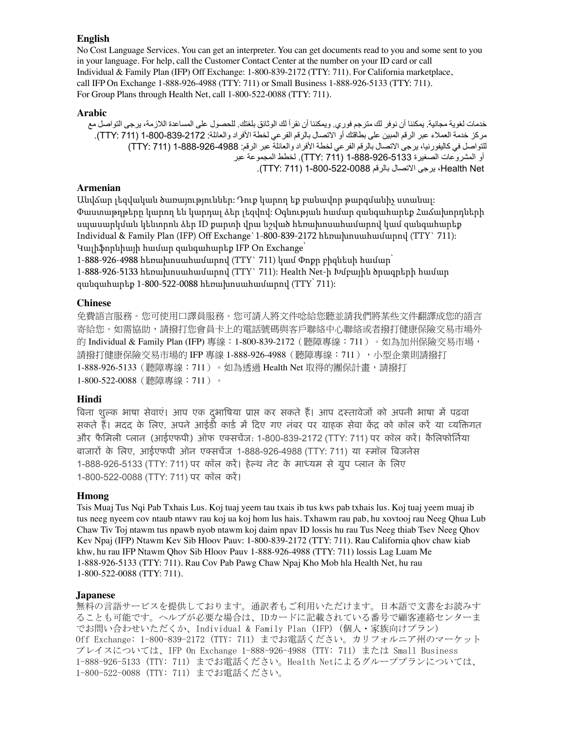#### **English**

No Cost Language Services. You can get an interpreter. You can get documents read to you and some sent to you in your language. For help, call the Customer Contact Center at the number on your ID card or call Individual & Family Plan (IFP) Off Exchange: 1-800-839-2172 (TTY: 711). For California marketplace, call IFP On Exchange 1-888-926-4988 (TTY: 711) or Small Business 1-888-926-5133 (TTY: 711). For Group Plans through Health Net, call 1-800-522-0088 (TTY: 711).

#### **Arabic**

خدمات لغوية مجانية. يمكننا أن نوفر لك مترجم فوري. ويمكننا أن نقرأ لك الوثائق بلغتك. للحصول على المساعدة الالزمة، يرجى التواصل مع مركز خدمة العمالء عبر الرقم المبين على بطاقتك أو االتصال بالرقم الفرعي لخطة األفراد والعائلة: 1-800-839-2172 )711 :TTY). للتواصل في كاليفورنيا، يرجى الاتصال بالرقم الفرعي لخطة الأفراد والعائلة عبر الرقم: 1988-926-888-1 (TTY: 711) أو المشروعات الصغيرة 1-888-926-5133 )711 :TTY). لخطط المجموعة عبر Net Health، يرجى االتصال بالرقم 1-800-522-0088 )711 :TTY).

### **Armenian**

Անվճար լեզվական ծառայություններ: Դուք կարող եք բանավոր թարգմանիչ ստանալ: Փաստաթղթերը կարող են կարդալ ձեր լեզվով: Օգնության համար զանգահարեք Հաճախորդների սպասարկման կենտրոն ձեր ID քարտի վրա նշված հեռախոսահամարով կամ զանգահարեք Individual & Family Plan (IFP) Off Exchange`1-800-839-2172 հեռախոսահամարով (TTY` 711): Կալիֆորնիայի համար զանգահարեք IFP On Exchange՝

1-888-926-4988 հեռախոսահամարով (TTY` 711) կամ Փոթր բիզնեսի համար

1-888-926-5133 հեռախոսահամարով (TTY` 711): Health Net-ի Խմբային ծրագրերի համար զանգահարեք 1-800-522-0088 հեռախոսահամարով (TTY՝ 711):

#### **Chinese**

免費語言服務。您可使用口譯員服務。您可請人將文件唸給您聽並請我們將某些文件翻譯成您的語言 寄給您。如需協助,請撥打您會員卡上的電話號碼與客戶聯絡中心聯絡或者撥打健康保險交易市場外 的 Individual & Family Plan (IFP) 專線:1-800-839-2172 (聽障專線:711 ) 。如為加州保險交易市場, 請撥打健康保險交易市場的 IFP 專線 1-888-926-4988 (聽障專線:711),小型企業則請撥打 1-888-926-5133(聽障專線:711)。如為透過 Health Net 取得的團保計畫,請撥打 1-800-522-0088(聽障專線:711)。

### **Hindi**

बिना शुल्क भाषा सेवाएं। आप एक दुर्भाषिया प्राप्त कर सकते हैं। आप दस्तावेजों को अपनी भाषा में पढ़वा सकते हैं। मदद के लिए, अपने आईडी कार्ड में दिए गए नंबर पर ग्राहक सेवा केंद्र को कॉल करें या व्यक्तिगत और फैमिली प्लान (आईएफपी) ऑफ एक्सचेंज: 1-800-839-2172 (TTY: 711) पर कॉल करें। कैलिफोर्निया िाजारों ्के लिए, आईएफपी ऑन एकसचेंज 1-888-926-4988 )TTY: 711) या समॉि बिजनेस 1-888-926-5133 (TTY: 711) पर कॉल करें। हेल्थ नेट के माध्यम से ग्रुप प्लान के लिए 1-800-522-0088 (TTY: 711) पर कॉल करें।

#### **Hmong**

Tsis Muaj Tus Nqi Pab Txhais Lus. Koj tuaj yeem tau txais ib tus kws pab txhais lus. Koj tuaj yeem muaj ib tus neeg nyeem cov ntaub ntawv rau koj ua koj hom lus hais. Txhawm rau pab, hu xovtooj rau Neeg Qhua Lub Chaw Tiv Toj ntawm tus npawb nyob ntawm koj daim npav ID lossis hu rau Tus Neeg thiab Tsev Neeg Qhov Kev Npaj (IFP) Ntawm Kev Sib Hloov Pauv: 1-800-839-2172 (TTY: 711). Rau California qhov chaw kiab khw, hu rau IFP Ntawm Qhov Sib Hloov Pauv 1-888-926-4988 (TTY: 711) lossis Lag Luam Me 1-888-926-5133 (TTY: 711). Rau Cov Pab Pawg Chaw Npaj Kho Mob hla Health Net, hu rau 1-800-522-0088 (TTY: 711).

#### **Japanese**

無料の言語サービスを提供しております。通訳者もご利用いただけます。日本語で文書をお読みす ることも可能です。ヘルプが必要な場合は、IDカードに記載されている番号で顧客連絡センターま でお問い合わせいただくか、Individual & Family Plan (IFP) (個人・家族向けプラン) Off Exchange: 1-800-839-2172 (TTY: 711) までお電話ください。カリフォルニア州のマーケット プレイスについては、IFP On Exchange 1-888-926-4988 (TTY: 711) または Small Business 1-888-926-5133 (TTY: 711) までお電話ください。Health Netによるグループプランについては、 1-800-522-0088 (TTY: 711) までお電話ください。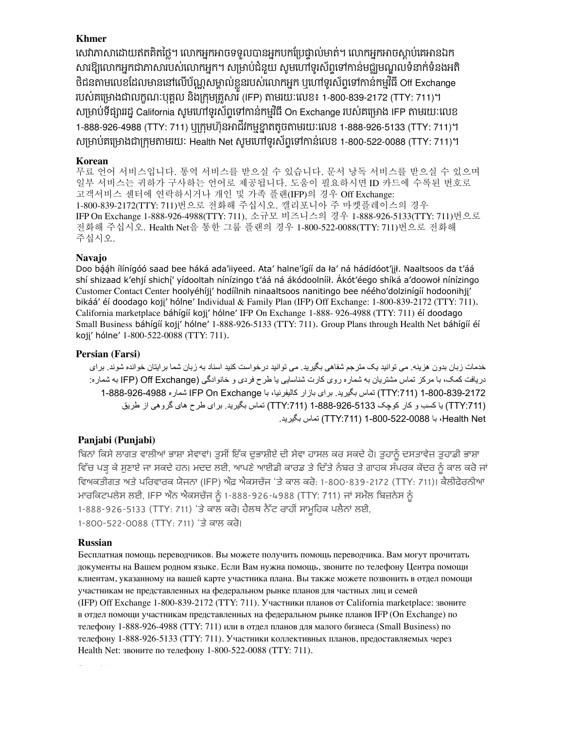## **Khmer**

សេវាភាសាដោយឥតគិតច្លេ។ លោកអ្នកអាចទទួលបានអ្នកបកប្រេច្ចាល់មាត់។ លោកអ្នកអាចស្តាប់គេអានឯក សារឱ្យលោកអ្នកជាភាសារបស់លោកអ្នក។ សម្រាបជំនួយ សូមហៅទូរសព្វទៅកាន់មជ្ឈមណ្ឌលទំនាក់ទំនងអត ថជនតាមលេខដែលមាននោលេបណ្ណសម្គាលខ្លួនរបស់លោកអ្នក ឬហោទូរសព្ទទោកានកម្មវធ Off Exchange របស់គម្រោងជាលក្ខណៈបុគ្គល នងក្រុមគ្រួសារ (IFP) តាមរយៈលេខ៖ 1-800-839-2172 (TTY: 711)។ សម្រាប់ទង្សាររដ្ឋ California សូមហោទូរសព្ទទោកានកម្មវធិ On Exchange របស់គម្រោង IFP តាមរយៈលេខ 1-888-926-4988 (TTY: 711) ឬក្រុមហ៊ុនអាជីវកម្មខ្នាតតូចតាមរយៈលេខ 1-888-926-5133 (TTY: 711)។ េ្មាប់គស្មាងជា្ករុមតាមរយៈ Health Net េូមសៅទូរេ័ពទាសៅកាន់សលខ 1-800-522-0088 (TTY: 711)។

## **Korean**

무료 언어 서비스입니다. 통역 서비스를 받으실 수 있습니다. 문서 낭독 서비스를 받으실 수 있으며 일부 서비스는 귀하가 구사하는 언어로 제공됩니다. 도움이 필요하시면 ID 카드에 수록된 번호로 고객서비스 센터에 연락하시거나 개인 및 가족 플랜(IFP)의 경우 Off Exchange: 1-800-839-2172(TTY: 711)번으로 전화해 주십시오. 캘리포니아 주 마켓플레이스의 경우 IFP On Exchange 1-888-926-4988(TTY: 711), 소규모 비즈니스의 경우 1-888-926-5133(TTY: 711)번으로 전화해 주십시오. Health Net을 통한 그룹 플랜의 경우 1-800-522-0088(TTY: 711)번으로 전화해 주십시오.

## **Navajo**

Doo bááh ílínígóó saad bee háká ada'iiyeed. Ata' halne'ígíí da ła' ná hádídóot'iił. Naaltsoos da t'áá shí shizaad k'ehjí shichj' yídooltah nínízingo t'áá ná ákódoolnííł. Ákót'éego shíká a'doowoł nínízingo Customer Contact Center hoolyéhíjj' hodíílnih ninaaltsoos nanitingo bee néého'dolzinígíí hodoonihjj' bikáá' éí doodago kojį' hólne' Individual & Family Plan (IFP) Off Exchange: 1-800-839-2172 (TTY: 711). California marketplace báhígíí koji' hólne' IFP On Exchange 1-888- 926-4988 (TTY: 711) éi doodago Small Business báhígíí koji' hólne' 1-888-926-5133 (TTY: 711). Group Plans through Health Net báhígíí éí koji' hólne' 1-800-522-0088 (TTY: 711).

## **Persian (Farsi)**

خدمات زبان بدون هزينه. می توانيد يک مترجم شفاهی بگيريد. می توانيد درخواست کنيد اسناد به زبان شما برايتان خوانده شوند. برای دريافت کمک، با مرکز تماس مشتريان به شماره روی کارت شناسايی يا طرح فردی و خانوادگی (Exchange Off( IFP به شماره: 1-800-839-2172 ):711TTY )تماس بگيريد. برای بازار کاليفرنيا، با Exchange On IFP شماره 1-888-926-4988 ):711TTY )يا کسب و کار کوچک 1-888-926-5133 ):711TTY )تماس بگيريد. برای طرح های گروهی از طريق Net Health، با 1-800-522-0088 ):711TTY )تماس بگيريد.

## **Panjabi (Punjabi)**

ਬਿਨਾਂ ਕਿਸੇ ਲਾਗਤ ਵਾਲੀਆਂ ਭਾਸ਼ਾ ਸੇਵਾਵਾਂ। ਤੁਸੀਂ ਇੱਕ ਦੁਭਾਸ਼ੀਏ ਦੀ ਸੇਵਾ ਹਾਸਲ ਕਰ ਸਕਦੇ ਹੋ। ਤੁਹਾਨੂੰ ਦਸਤਾਵੇਜ਼ ਤੁਹਾਡੀ ਭਾਸ਼ਾ ਵਿੱਚ ਪੜ੍ਹ ਕੇ ਸੁਣਾਏ ਜਾ ਸਕਦੇ ਹਨ। ਮਦਦ ਲਈ, ਆਪਣੇ ਆਈਡੀ ਕਾਰਡ ਤੇ ਦਿੱਤੇ ਨੰਬਰ ਤੇ ਗਾਹਕ ਸੰਪਰਕ ਕੇਂਦਰ ਨੂੰ ਕਾਲ ਕਰੋ ਜਾਂ ਵਿਅਕਤੀਗਤ ਅਤੇ ਪਰਿਵਾਰਕ ਯੋਜਨਾ (IFP) ਔਫ਼ ਐਕਸਚੇਂਜ 'ਤੇ ਕਾਲ ਕਰੋ: 1-800-839-2172 (TTY: 711)। ਕੈਲੀਫੋਰਨੀਆ ਮਾਰਕਿਟਪਲੇਸ ਲਈ, IFP ਔਨ ਐਕਸਚੇਂਜ ਨੂੰ 1-888-926-4988 (TTY: 711) ਜਾਂ ਸਮੌਲ ਬਿਜ਼ਨੇਸ ਨੂੰ 1-888-926-5133 (TTY: 711) 'ਤੇ ਕਾਲ ਕਰੋ। ਹੈਲਥ ਨੈੱਟ ਰਾਹੀਂ ਸਾਮੂਹਿਕ ਪਲੈਨਾਂ ਲਈ, 1-800-522-0088 (TTY: 711) 'ਤੇ ਕਾਲ ਕਰੋ।

## **Russian**

Бесплатная помощь переводчиков. Вы можете получить помощь переводчика. Вам могут прочитать документы на Вашем родном языке. Если Вам нужна помощь, звоните по телефону Центра помощи клиентам, указанному на вашей карте участника плана. Вы также можете позвонить в отдел помощи участникам не представленных на федеральном рынке планов для частных лиц и семей (IFP) Off Exchange 1‑800‑839‑2172 (TTY: 711). Участники планов от California marketplace: звоните в отдел помощи участникам представленных на федеральном рынке планов IFP (On Exchange) по телефону 1-888-926-4988 (ТТҮ: 711) или в отдел планов для малого бизнеса (Small Business) по телефону 1‑888‑926‑5133 (TTY: 711). Участники коллективных планов, предоставляемых через Health Net: звоните по телефону 1‑800‑522‑0088 (TTY: 711).